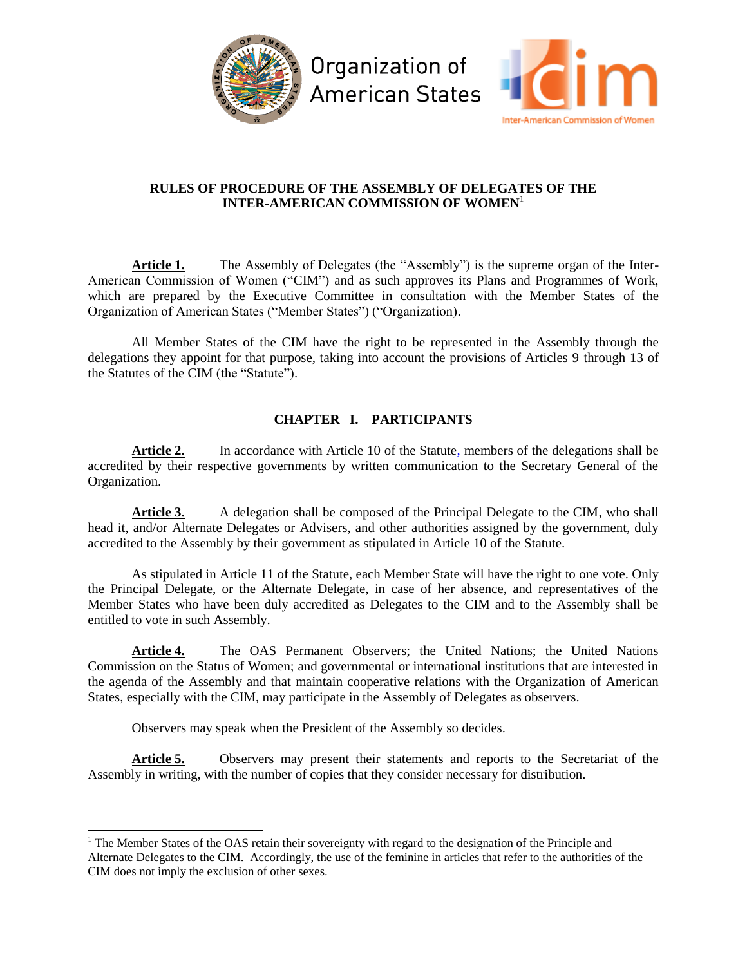



## **RULES OF PROCEDURE OF THE ASSEMBLY OF DELEGATES OF THE INTER-AMERICAN COMMISSION OF WOMEN**<sup>1</sup>

Article 1. The Assembly of Delegates (the "Assembly") is the supreme organ of the Inter-American Commission of Women ("CIM") and as such approves its Plans and Programmes of Work, which are prepared by the Executive Committee in consultation with the Member States of the Organization of American States ("Member States") ("Organization).

All Member States of the CIM have the right to be represented in the Assembly through the delegations they appoint for that purpose, taking into account the provisions of Articles 9 through 13 of the Statutes of the CIM (the "Statute").

# **CHAPTER I. PARTICIPANTS**

Article 2. In accordance with Article 10 of the Statute, members of the delegations shall be accredited by their respective governments by written communication to the Secretary General of the Organization.

Article 3. A delegation shall be composed of the Principal Delegate to the CIM, who shall head it, and/or Alternate Delegates or Advisers, and other authorities assigned by the government, duly accredited to the Assembly by their government as stipulated in Article 10 of the Statute.

As stipulated in Article 11 of the Statute, each Member State will have the right to one vote. Only the Principal Delegate, or the Alternate Delegate, in case of her absence, and representatives of the Member States who have been duly accredited as Delegates to the CIM and to the Assembly shall be entitled to vote in such Assembly.

**Article 4.** The OAS Permanent Observers; the United Nations; the United Nations Commission on the Status of Women; and governmental or international institutions that are interested in the agenda of the Assembly and that maintain cooperative relations with the Organization of American States, especially with the CIM, may participate in the Assembly of Delegates as observers.

Observers may speak when the President of the Assembly so decides.

l

Article 5. Observers may present their statements and reports to the Secretariat of the Assembly in writing, with the number of copies that they consider necessary for distribution.

<sup>&</sup>lt;sup>1</sup> The Member States of the OAS retain their sovereignty with regard to the designation of the Principle and Alternate Delegates to the CIM. Accordingly, the use of the feminine in articles that refer to the authorities of the CIM does not imply the exclusion of other sexes.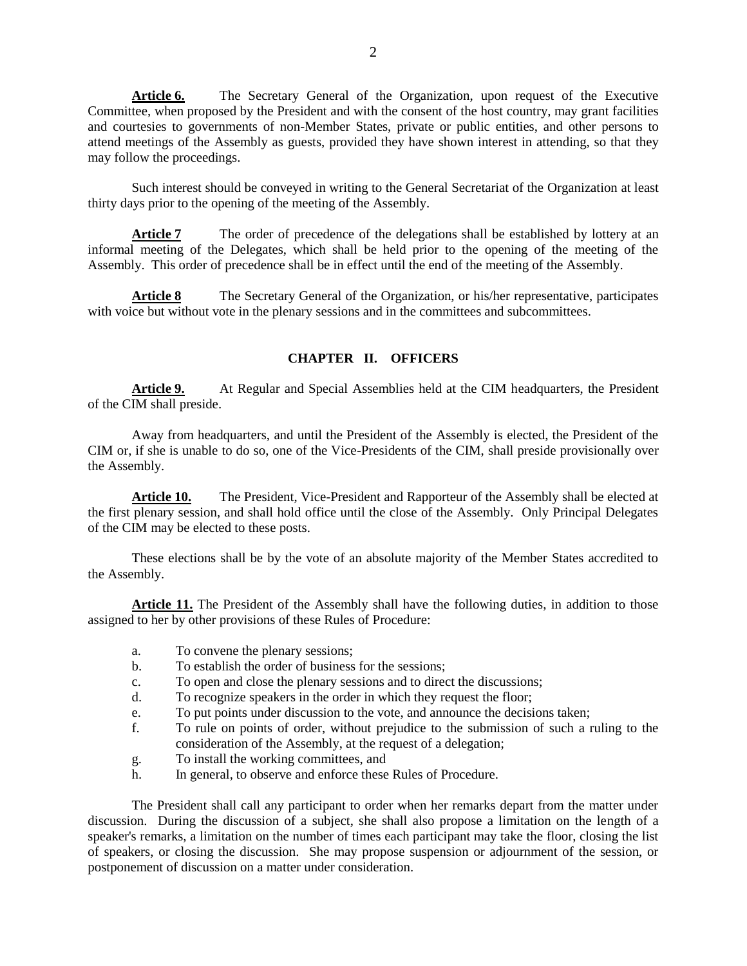**Article 6.** The Secretary General of the Organization, upon request of the Executive Committee, when proposed by the President and with the consent of the host country, may grant facilities and courtesies to governments of non-Member States, private or public entities, and other persons to attend meetings of the Assembly as guests, provided they have shown interest in attending, so that they may follow the proceedings.

Such interest should be conveyed in writing to the General Secretariat of the Organization at least thirty days prior to the opening of the meeting of the Assembly.

Article 7 The order of precedence of the delegations shall be established by lottery at an informal meeting of the Delegates, which shall be held prior to the opening of the meeting of the Assembly. This order of precedence shall be in effect until the end of the meeting of the Assembly.

Article 8 The Secretary General of the Organization, or his/her representative, participates with voice but without vote in the plenary sessions and in the committees and subcommittees.

### **CHAPTER II. OFFICERS**

Article 9. At Regular and Special Assemblies held at the CIM headquarters, the President of the CIM shall preside.

Away from headquarters, and until the President of the Assembly is elected, the President of the CIM or, if she is unable to do so, one of the Vice-Presidents of the CIM, shall preside provisionally over the Assembly.

Article 10. The President, Vice-President and Rapporteur of the Assembly shall be elected at the first plenary session, and shall hold office until the close of the Assembly. Only Principal Delegates of the CIM may be elected to these posts.

These elections shall be by the vote of an absolute majority of the Member States accredited to the Assembly.

**Article 11.** The President of the Assembly shall have the following duties, in addition to those assigned to her by other provisions of these Rules of Procedure:

- a. To convene the plenary sessions;
- b. To establish the order of business for the sessions;
- c. To open and close the plenary sessions and to direct the discussions;
- d. To recognize speakers in the order in which they request the floor;
- e. To put points under discussion to the vote, and announce the decisions taken;
- f. To rule on points of order, without prejudice to the submission of such a ruling to the consideration of the Assembly, at the request of a delegation;
- g. To install the working committees, and
- h. In general, to observe and enforce these Rules of Procedure.

The President shall call any participant to order when her remarks depart from the matter under discussion. During the discussion of a subject, she shall also propose a limitation on the length of a speaker's remarks, a limitation on the number of times each participant may take the floor, closing the list of speakers, or closing the discussion. She may propose suspension or adjournment of the session, or postponement of discussion on a matter under consideration.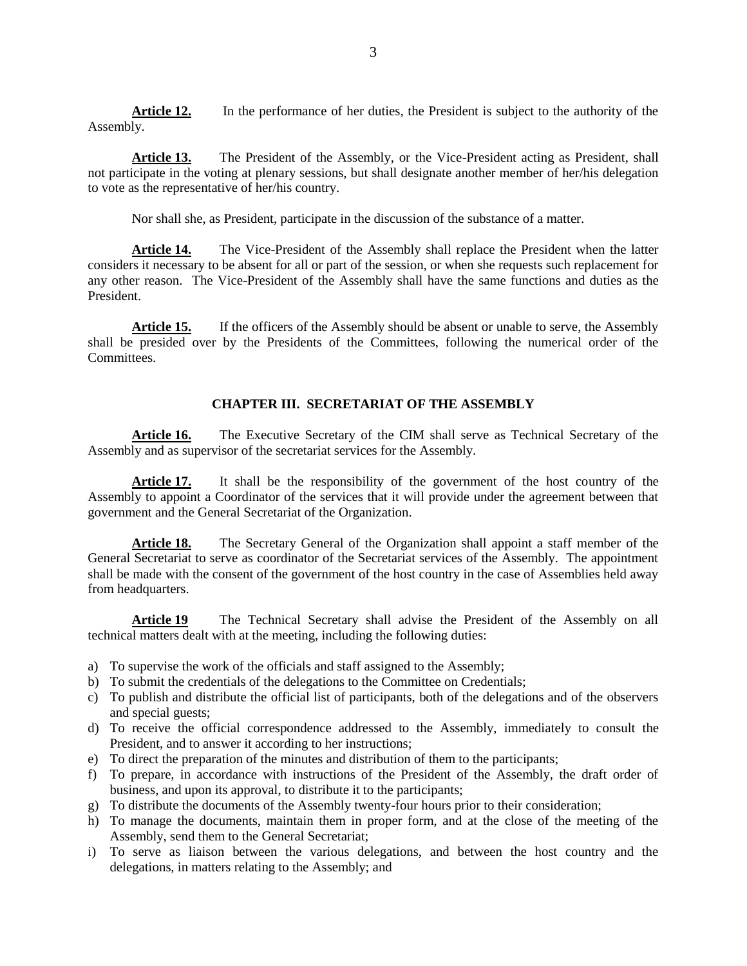**Article 12.** In the performance of her duties, the President is subject to the authority of the Assembly.

**Article 13.** The President of the Assembly, or the Vice-President acting as President, shall not participate in the voting at plenary sessions, but shall designate another member of her/his delegation to vote as the representative of her/his country.

Nor shall she, as President, participate in the discussion of the substance of a matter.

**Article 14.** The Vice-President of the Assembly shall replace the President when the latter considers it necessary to be absent for all or part of the session, or when she requests such replacement for any other reason. The Vice-President of the Assembly shall have the same functions and duties as the President.

Article 15. If the officers of the Assembly should be absent or unable to serve, the Assembly shall be presided over by the Presidents of the Committees, following the numerical order of the Committees.

### **CHAPTER III. SECRETARIAT OF THE ASSEMBLY**

**Article 16.** The Executive Secretary of the CIM shall serve as Technical Secretary of the Assembly and as supervisor of the secretariat services for the Assembly.

Article 17. It shall be the responsibility of the government of the host country of the Assembly to appoint a Coordinator of the services that it will provide under the agreement between that government and the General Secretariat of the Organization.

**Article 18.** The Secretary General of the Organization shall appoint a staff member of the General Secretariat to serve as coordinator of the Secretariat services of the Assembly. The appointment shall be made with the consent of the government of the host country in the case of Assemblies held away from headquarters.

**Article 19** The Technical Secretary shall advise the President of the Assembly on all technical matters dealt with at the meeting, including the following duties:

- a) To supervise the work of the officials and staff assigned to the Assembly;
- b) To submit the credentials of the delegations to the Committee on Credentials;
- c) To publish and distribute the official list of participants, both of the delegations and of the observers and special guests;
- d) To receive the official correspondence addressed to the Assembly, immediately to consult the President, and to answer it according to her instructions;
- e) To direct the preparation of the minutes and distribution of them to the participants;
- f) To prepare, in accordance with instructions of the President of the Assembly, the draft order of business, and upon its approval, to distribute it to the participants;
- g) To distribute the documents of the Assembly twenty-four hours prior to their consideration;
- h) To manage the documents, maintain them in proper form, and at the close of the meeting of the Assembly, send them to the General Secretariat;
- i) To serve as liaison between the various delegations, and between the host country and the delegations, in matters relating to the Assembly; and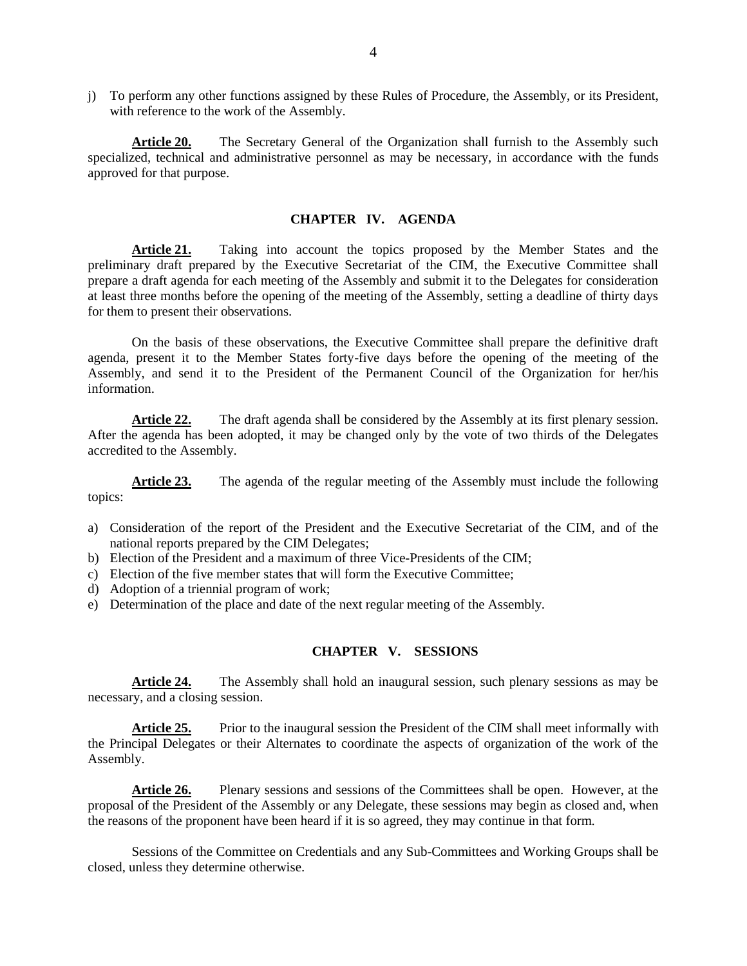j) To perform any other functions assigned by these Rules of Procedure, the Assembly, or its President, with reference to the work of the Assembly.

**Article 20.** The Secretary General of the Organization shall furnish to the Assembly such specialized, technical and administrative personnel as may be necessary, in accordance with the funds approved for that purpose.

#### **CHAPTER IV. AGENDA**

**Article 21.** Taking into account the topics proposed by the Member States and the preliminary draft prepared by the Executive Secretariat of the CIM, the Executive Committee shall prepare a draft agenda for each meeting of the Assembly and submit it to the Delegates for consideration at least three months before the opening of the meeting of the Assembly, setting a deadline of thirty days for them to present their observations.

On the basis of these observations, the Executive Committee shall prepare the definitive draft agenda, present it to the Member States forty-five days before the opening of the meeting of the Assembly, and send it to the President of the Permanent Council of the Organization for her/his information.

**Article 22.** The draft agenda shall be considered by the Assembly at its first plenary session. After the agenda has been adopted, it may be changed only by the vote of two thirds of the Delegates accredited to the Assembly.

Article 23. The agenda of the regular meeting of the Assembly must include the following topics:

- a) Consideration of the report of the President and the Executive Secretariat of the CIM, and of the national reports prepared by the CIM Delegates;
- b) Election of the President and a maximum of three Vice-Presidents of the CIM;
- c) Election of the five member states that will form the Executive Committee;
- d) Adoption of a triennial program of work;
- e) Determination of the place and date of the next regular meeting of the Assembly.

### **CHAPTER V. SESSIONS**

**Article 24.** The Assembly shall hold an inaugural session, such plenary sessions as may be necessary, and a closing session.

**Article 25.** Prior to the inaugural session the President of the CIM shall meet informally with the Principal Delegates or their Alternates to coordinate the aspects of organization of the work of the Assembly.

**Article 26.** Plenary sessions and sessions of the Committees shall be open. However, at the proposal of the President of the Assembly or any Delegate, these sessions may begin as closed and, when the reasons of the proponent have been heard if it is so agreed, they may continue in that form.

Sessions of the Committee on Credentials and any Sub-Committees and Working Groups shall be closed, unless they determine otherwise.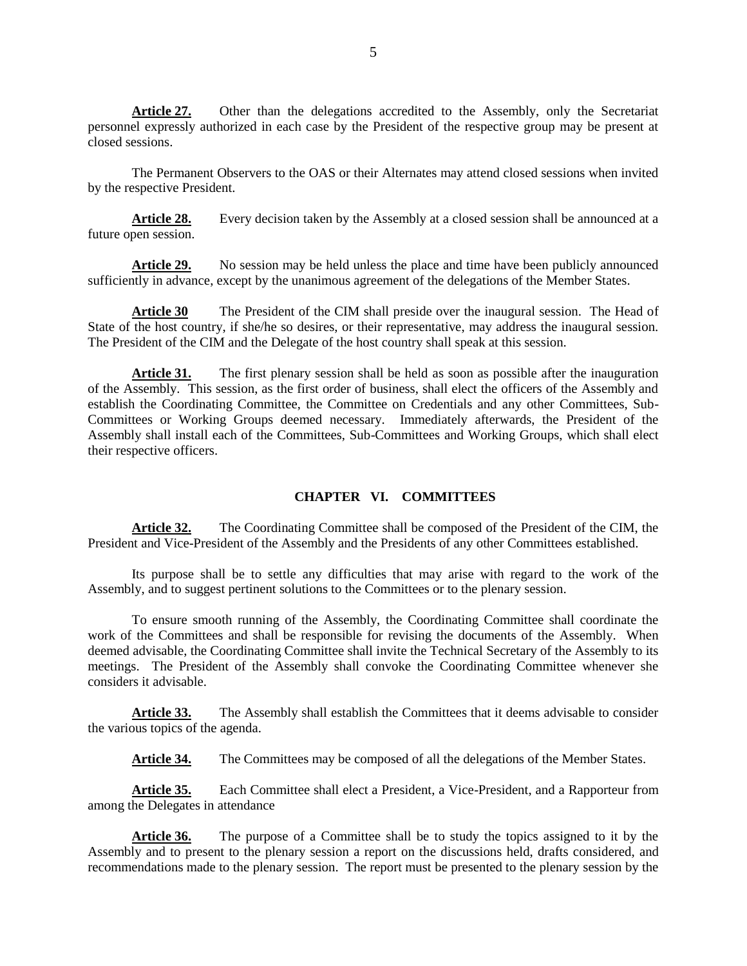Article 27. Other than the delegations accredited to the Assembly, only the Secretariat personnel expressly authorized in each case by the President of the respective group may be present at closed sessions.

The Permanent Observers to the OAS or their Alternates may attend closed sessions when invited by the respective President.

Article 28. Every decision taken by the Assembly at a closed session shall be announced at a future open session.

Article 29. No session may be held unless the place and time have been publicly announced sufficiently in advance, except by the unanimous agreement of the delegations of the Member States.

**Article 30** The President of the CIM shall preside over the inaugural session. The Head of State of the host country, if she/he so desires, or their representative, may address the inaugural session. The President of the CIM and the Delegate of the host country shall speak at this session.

Article 31. The first plenary session shall be held as soon as possible after the inauguration of the Assembly. This session, as the first order of business, shall elect the officers of the Assembly and establish the Coordinating Committee, the Committee on Credentials and any other Committees, Sub-Committees or Working Groups deemed necessary. Immediately afterwards, the President of the Assembly shall install each of the Committees, Sub-Committees and Working Groups, which shall elect their respective officers.

### **CHAPTER VI. COMMITTEES**

**Article 32.** The Coordinating Committee shall be composed of the President of the CIM, the President and Vice-President of the Assembly and the Presidents of any other Committees established.

Its purpose shall be to settle any difficulties that may arise with regard to the work of the Assembly, and to suggest pertinent solutions to the Committees or to the plenary session.

To ensure smooth running of the Assembly, the Coordinating Committee shall coordinate the work of the Committees and shall be responsible for revising the documents of the Assembly. When deemed advisable, the Coordinating Committee shall invite the Technical Secretary of the Assembly to its meetings. The President of the Assembly shall convoke the Coordinating Committee whenever she considers it advisable.

Article 33. The Assembly shall establish the Committees that it deems advisable to consider the various topics of the agenda.

Article 34. The Committees may be composed of all the delegations of the Member States.

**Article 35.** Each Committee shall elect a President, a Vice-President, and a Rapporteur from among the Delegates in attendance

**Article 36.** The purpose of a Committee shall be to study the topics assigned to it by the Assembly and to present to the plenary session a report on the discussions held, drafts considered, and recommendations made to the plenary session. The report must be presented to the plenary session by the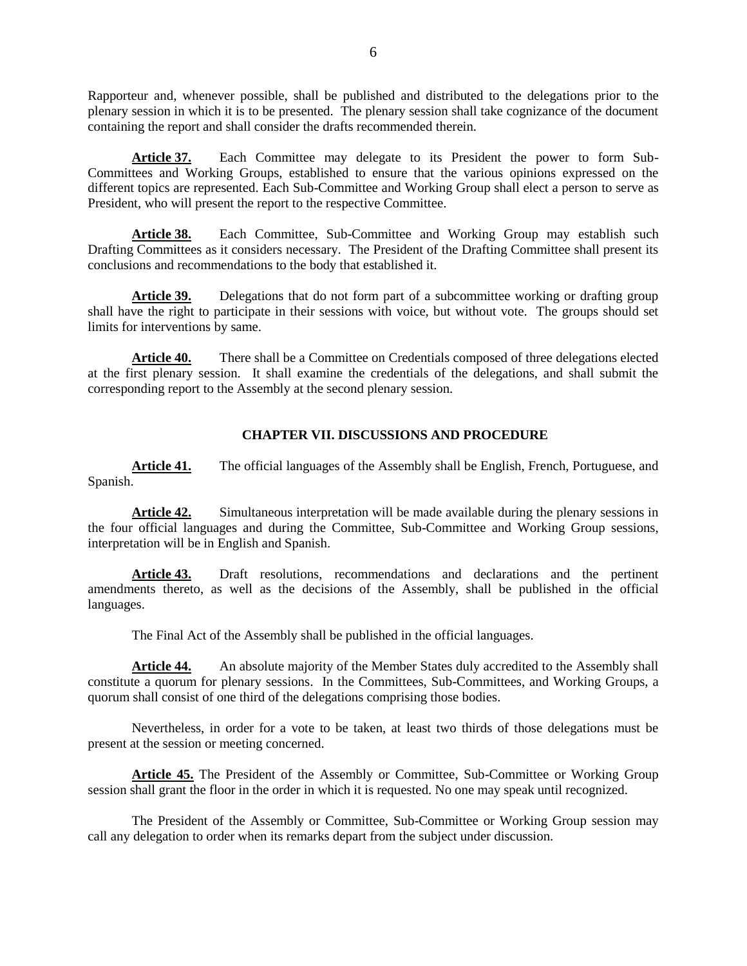Rapporteur and, whenever possible, shall be published and distributed to the delegations prior to the plenary session in which it is to be presented. The plenary session shall take cognizance of the document containing the report and shall consider the drafts recommended therein.

**Article 37.** Each Committee may delegate to its President the power to form Sub-Committees and Working Groups, established to ensure that the various opinions expressed on the different topics are represented. Each Sub-Committee and Working Group shall elect a person to serve as President, who will present the report to the respective Committee.

**Article 38.** Each Committee, Sub-Committee and Working Group may establish such Drafting Committees as it considers necessary. The President of the Drafting Committee shall present its conclusions and recommendations to the body that established it.

Article 39. Delegations that do not form part of a subcommittee working or drafting group shall have the right to participate in their sessions with voice, but without vote. The groups should set limits for interventions by same.

Article 40. There shall be a Committee on Credentials composed of three delegations elected at the first plenary session. It shall examine the credentials of the delegations, and shall submit the corresponding report to the Assembly at the second plenary session.

### **CHAPTER VII. DISCUSSIONS AND PROCEDURE**

**Article 41.** The official languages of the Assembly shall be English, French, Portuguese, and Spanish.

Article 42. Simultaneous interpretation will be made available during the plenary sessions in the four official languages and during the Committee, Sub-Committee and Working Group sessions, interpretation will be in English and Spanish.

**Article 43.** Draft resolutions, recommendations and declarations and the pertinent amendments thereto, as well as the decisions of the Assembly, shall be published in the official languages.

The Final Act of the Assembly shall be published in the official languages.

**Article 44.** An absolute majority of the Member States duly accredited to the Assembly shall constitute a quorum for plenary sessions. In the Committees, Sub-Committees, and Working Groups, a quorum shall consist of one third of the delegations comprising those bodies.

Nevertheless, in order for a vote to be taken, at least two thirds of those delegations must be present at the session or meeting concerned.

**Article 45.** The President of the Assembly or Committee, Sub-Committee or Working Group session shall grant the floor in the order in which it is requested. No one may speak until recognized.

The President of the Assembly or Committee, Sub-Committee or Working Group session may call any delegation to order when its remarks depart from the subject under discussion.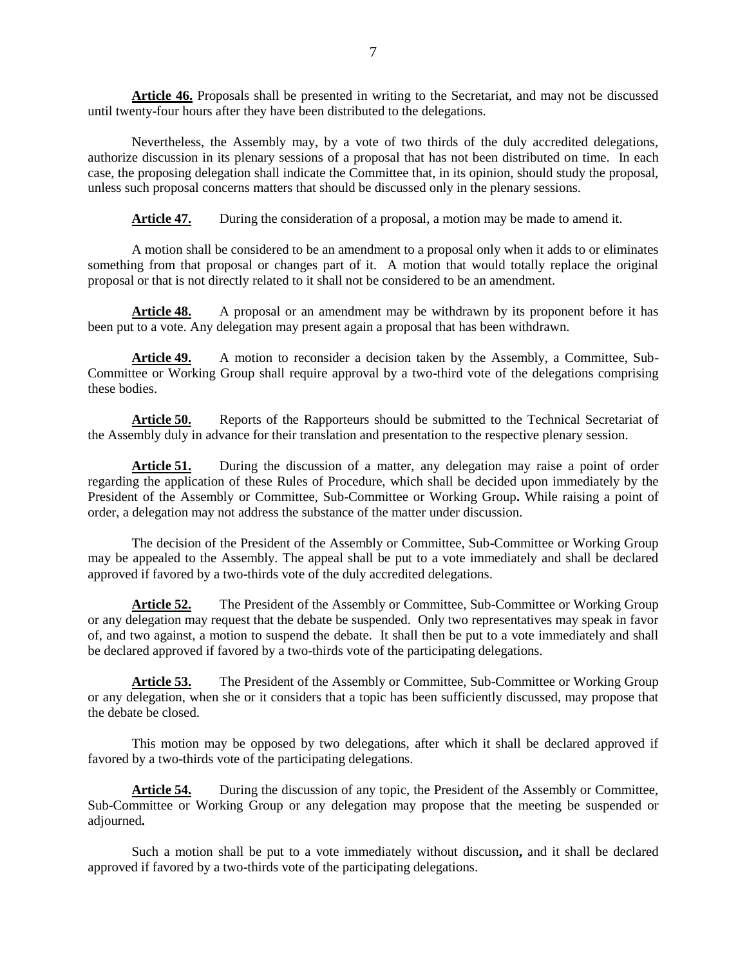**Article 46.** Proposals shall be presented in writing to the Secretariat, and may not be discussed until twenty-four hours after they have been distributed to the delegations.

Nevertheless, the Assembly may, by a vote of two thirds of the duly accredited delegations, authorize discussion in its plenary sessions of a proposal that has not been distributed on time. In each case, the proposing delegation shall indicate the Committee that, in its opinion, should study the proposal, unless such proposal concerns matters that should be discussed only in the plenary sessions.

Article 47. During the consideration of a proposal, a motion may be made to amend it.

A motion shall be considered to be an amendment to a proposal only when it adds to or eliminates something from that proposal or changes part of it. A motion that would totally replace the original proposal or that is not directly related to it shall not be considered to be an amendment.

**Article 48.** A proposal or an amendment may be withdrawn by its proponent before it has been put to a vote. Any delegation may present again a proposal that has been withdrawn.

**Article 49.** A motion to reconsider a decision taken by the Assembly, a Committee, Sub-Committee or Working Group shall require approval by a two-third vote of the delegations comprising these bodies.

Article 50. Reports of the Rapporteurs should be submitted to the Technical Secretariat of the Assembly duly in advance for their translation and presentation to the respective plenary session.

Article 51. During the discussion of a matter, any delegation may raise a point of order regarding the application of these Rules of Procedure, which shall be decided upon immediately by the President of the Assembly or Committee, Sub-Committee or Working Group**.** While raising a point of order, a delegation may not address the substance of the matter under discussion.

The decision of the President of the Assembly or Committee, Sub-Committee or Working Group may be appealed to the Assembly. The appeal shall be put to a vote immediately and shall be declared approved if favored by a two-thirds vote of the duly accredited delegations.

**Article 52.** The President of the Assembly or Committee, Sub-Committee or Working Group or any delegation may request that the debate be suspended. Only two representatives may speak in favor of, and two against, a motion to suspend the debate. It shall then be put to a vote immediately and shall be declared approved if favored by a two-thirds vote of the participating delegations.

**Article 53.** The President of the Assembly or Committee, Sub-Committee or Working Group or any delegation, when she or it considers that a topic has been sufficiently discussed, may propose that the debate be closed.

This motion may be opposed by two delegations, after which it shall be declared approved if favored by a two-thirds vote of the participating delegations.

**Article 54.** During the discussion of any topic, the President of the Assembly or Committee, Sub-Committee or Working Group or any delegation may propose that the meeting be suspended or adjourned**.** 

Such a motion shall be put to a vote immediately without discussion**,** and it shall be declared approved if favored by a two-thirds vote of the participating delegations.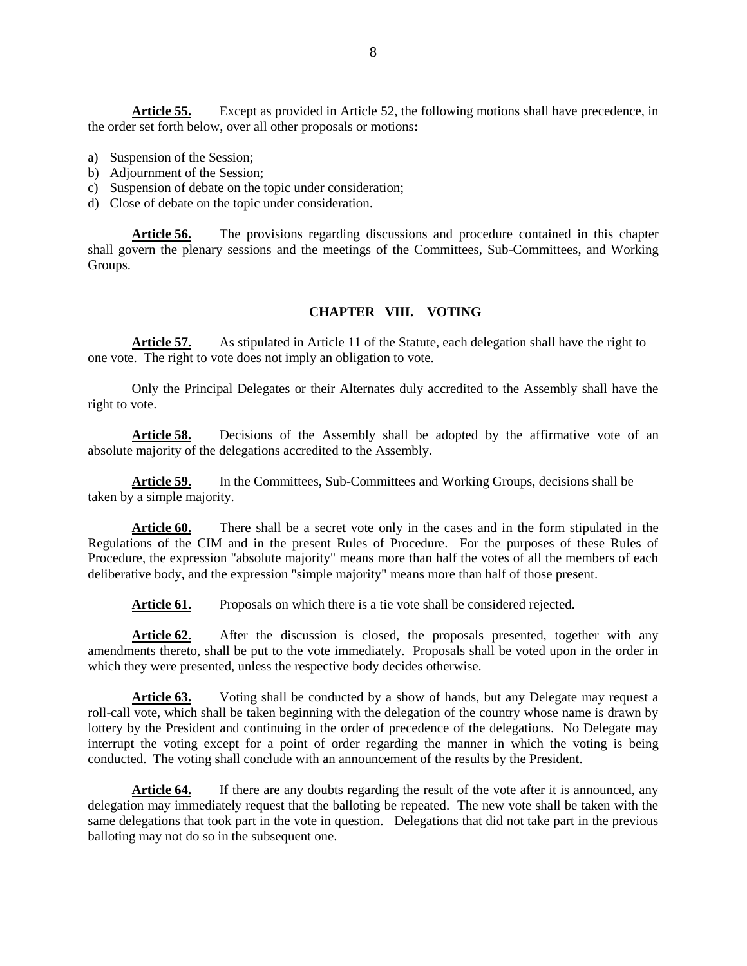**Article 55.** Except as provided in Article 52, the following motions shall have precedence, in the order set forth below, over all other proposals or motions**:**

- a) Suspension of the Session;
- b) Adjournment of the Session;
- c) Suspension of debate on the topic under consideration;
- d) Close of debate on the topic under consideration.

**Article 56.** The provisions regarding discussions and procedure contained in this chapter shall govern the plenary sessions and the meetings of the Committees, Sub-Committees, and Working Groups.

#### **CHAPTER VIII. VOTING**

**Article 57.** As stipulated in Article 11 of the Statute, each delegation shall have the right to one vote. The right to vote does not imply an obligation to vote.

Only the Principal Delegates or their Alternates duly accredited to the Assembly shall have the right to vote.

**Article 58.** Decisions of the Assembly shall be adopted by the affirmative vote of an absolute majority of the delegations accredited to the Assembly.

**Article 59.** In the Committees, Sub-Committees and Working Groups, decisions shall be taken by a simple majority.

Article 60. There shall be a secret vote only in the cases and in the form stipulated in the Regulations of the CIM and in the present Rules of Procedure. For the purposes of these Rules of Procedure, the expression "absolute majority" means more than half the votes of all the members of each deliberative body, and the expression "simple majority" means more than half of those present.

Article 61. Proposals on which there is a tie vote shall be considered rejected.

**Article 62.** After the discussion is closed, the proposals presented, together with any amendments thereto, shall be put to the vote immediately. Proposals shall be voted upon in the order in which they were presented, unless the respective body decides otherwise.

Article 63. Voting shall be conducted by a show of hands, but any Delegate may request a roll-call vote, which shall be taken beginning with the delegation of the country whose name is drawn by lottery by the President and continuing in the order of precedence of the delegations. No Delegate may interrupt the voting except for a point of order regarding the manner in which the voting is being conducted. The voting shall conclude with an announcement of the results by the President.

Article 64. If there are any doubts regarding the result of the vote after it is announced, any delegation may immediately request that the balloting be repeated. The new vote shall be taken with the same delegations that took part in the vote in question. Delegations that did not take part in the previous balloting may not do so in the subsequent one.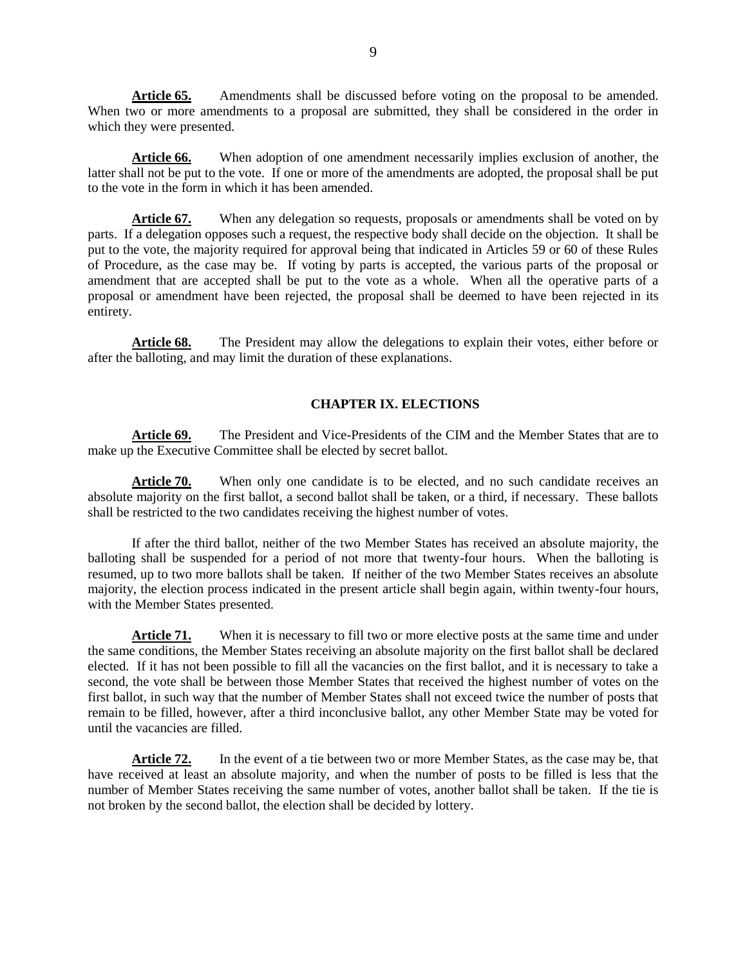**Article 65.** Amendments shall be discussed before voting on the proposal to be amended. When two or more amendments to a proposal are submitted, they shall be considered in the order in which they were presented.

**Article 66.** When adoption of one amendment necessarily implies exclusion of another, the latter shall not be put to the vote. If one or more of the amendments are adopted, the proposal shall be put to the vote in the form in which it has been amended.

Article 67. When any delegation so requests, proposals or amendments shall be voted on by parts. If a delegation opposes such a request, the respective body shall decide on the objection. It shall be put to the vote, the majority required for approval being that indicated in Articles 59 or 60 of these Rules of Procedure, as the case may be. If voting by parts is accepted, the various parts of the proposal or amendment that are accepted shall be put to the vote as a whole. When all the operative parts of a proposal or amendment have been rejected, the proposal shall be deemed to have been rejected in its entirety.

**Article 68.** The President may allow the delegations to explain their votes, either before or after the balloting, and may limit the duration of these explanations.

### **CHAPTER IX. ELECTIONS**

**Article 69.** The President and Vice-Presidents of the CIM and the Member States that are to make up the Executive Committee shall be elected by secret ballot.

Article 70. When only one candidate is to be elected, and no such candidate receives an absolute majority on the first ballot, a second ballot shall be taken, or a third, if necessary. These ballots shall be restricted to the two candidates receiving the highest number of votes.

If after the third ballot, neither of the two Member States has received an absolute majority, the balloting shall be suspended for a period of not more that twenty-four hours. When the balloting is resumed, up to two more ballots shall be taken. If neither of the two Member States receives an absolute majority, the election process indicated in the present article shall begin again, within twenty-four hours, with the Member States presented.

**Article 71.** When it is necessary to fill two or more elective posts at the same time and under the same conditions, the Member States receiving an absolute majority on the first ballot shall be declared elected. If it has not been possible to fill all the vacancies on the first ballot, and it is necessary to take a second, the vote shall be between those Member States that received the highest number of votes on the first ballot, in such way that the number of Member States shall not exceed twice the number of posts that remain to be filled, however, after a third inconclusive ballot, any other Member State may be voted for until the vacancies are filled.

**Article 72.** In the event of a tie between two or more Member States, as the case may be, that have received at least an absolute majority, and when the number of posts to be filled is less that the number of Member States receiving the same number of votes, another ballot shall be taken. If the tie is not broken by the second ballot, the election shall be decided by lottery.